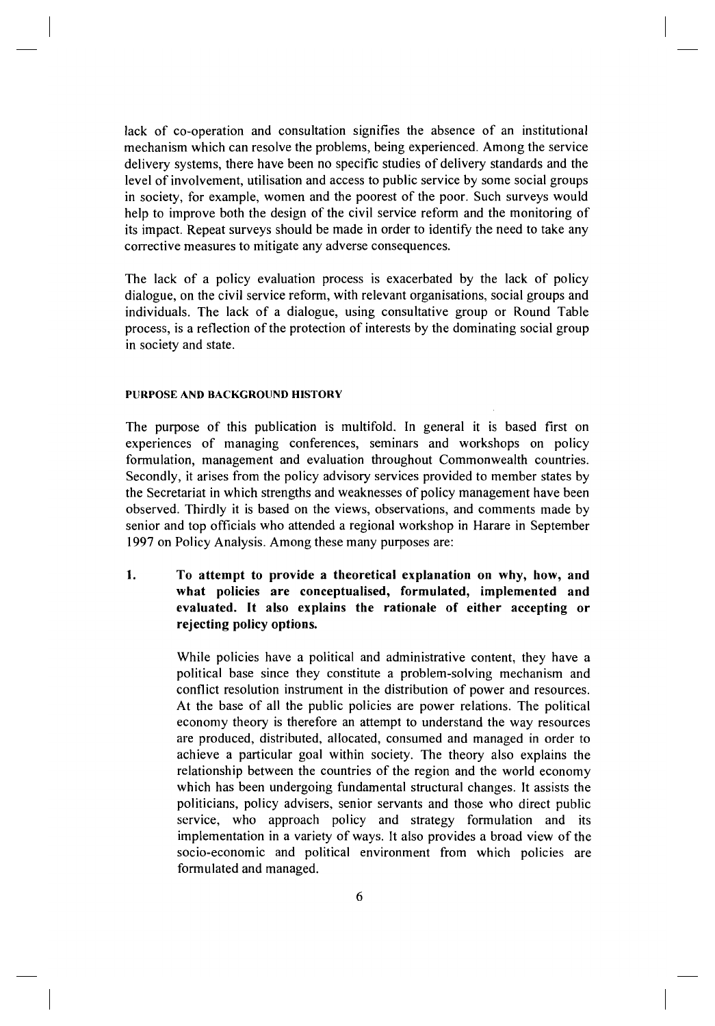lack of co-operation and consultation signifies the absence of an institutional mechanism which can resolve the problems, being experienced. Among the service delivery systems, there have been no specific studies of delivery standards and the level of involvement, utilisation and access to public service by some social groups in society, for example, women and the poorest of the poor. Such surveys would help to improve both the design of the civil service reform and the monitoring of its impact. Repeat surveys should be made in order to identify the need to take any corrective measures to mitigate any adverse consequences.

The lack of a policy evaluation process is exacerbated by the lack of policy dialogue, on the civil service reform, with relevant organisations, social groups and individuals. The lack of a dialogue, using consultative group or Round Table process, is a reflection of the protection of interests by the dominating social group in society and state.

## **PURPOSE AND BACKGROUND HISTORY**

The purpose of this publication is multifold. In general it is based first on experiences of managing conferences, seminars and workshops on policy formulation, management and evaluation throughout Commonwealth countries. Secondly, it arises from the policy advisory services provided to member states by the Secretariat in which strengths and weaknesses of policy management have been observed. Thirdly it is based on the views, observations, and comments made by senior and top officials who attended a regional workshop in Harare in September 1997 on Policy Analysis. Among these many purposes are:

**1.** To attempt to provide a theoretical explanation on why, how, and **what policies are conceptualised, formulated, implemented and evaluated.** It also explains the rationale of either accepting or **rejecting policy options.** 

> While policies have a political and administrative content, they have a political base since they constitute a problem-solving mechanism and conflict resolution instrument in the distribution of power and resources. At the base of all the public policies are power relations. The political economy theory is therefore an attempt to understand the way resources are produced, distributed, allocated, consumed and managed in order to achieve a particular goal within society. The theory also explains the relationship between the countries of the region and the world economy which has been undergoing fundamental structural changes. It assists the politicians, policy advisers, senior servants and those who direct public service, who approach policy and strategy formulation and its implementation in a variety of ways. It also provides a broad view of the socio-economic and political environment from which policies are formulated and managed.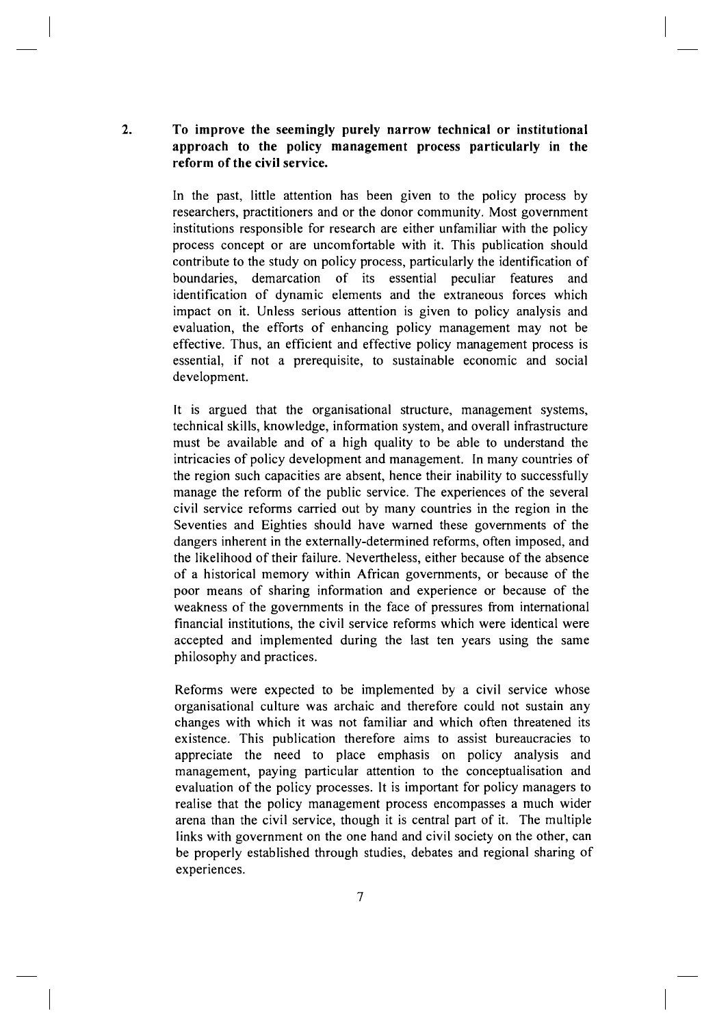## **2. T o improv e th e seemingl y purel y narro w technica l o r institutiona l**  approach to the policy management process particularly in the **reform of the civil service.**

In the past, little attention has been given to the policy process by researchers, practitioners and or the donor community. Most government institutions responsible for research are either unfamiliar with the policy process concept or are uncomfortable with it. This publication should contribute to the study on policy process, particularly the identification of boundaries, demarcation of its essential peculiar features and identification of dynamic elements and the extraneous forces which impact on it. Unless serious attention is given to policy analysis and evaluation, the efforts of enhancing policy management may not be effective. Thus, an efficient and effective policy management process is essential, if not a prerequisite, to sustainable economic and social development.

It is argued that the organisational structure, management systems, technical skills, knowledge, information system, and overall infrastructure must be available and of a high quality to be able to understand the intricacies of policy development and management. In many countries of the region such capacities are absent, hence their inability to successfully manage the reform of the public service. The experiences of the several civil service reforms carried out by many countries in the region in the Seventies and Eighties should have warned these governments of the dangers inherent in the externally-determined reforms, often imposed, and the likelihood of their failure. Nevertheless, either because of the absence of a historical memory within African governments, or because of the poor means of sharing information and experience or because of the weakness of the governments in the face of pressures from international financial institutions, the civil service reforms which were identical were accepted and implemented during the last ten years using the same philosophy and practices.

Reforms were expected to be implemented by a civil service whose organisational culture was archaic and therefore could not sustain any changes with which it was not familiar and which often threatened its existence. This publication therefore aims to assist bureaucracies to appreciate the need to place emphasis on policy analysis and management, paying particular attention to the conceptualisation and evaluation of the policy processes. It is important for policy managers to realise that the policy management process encompasses a much wider arena than the civil service, though it is central part of it. The multiple links with government on the one hand and civil society on the other, can be properly established through studies, debates and regional sharing of experiences.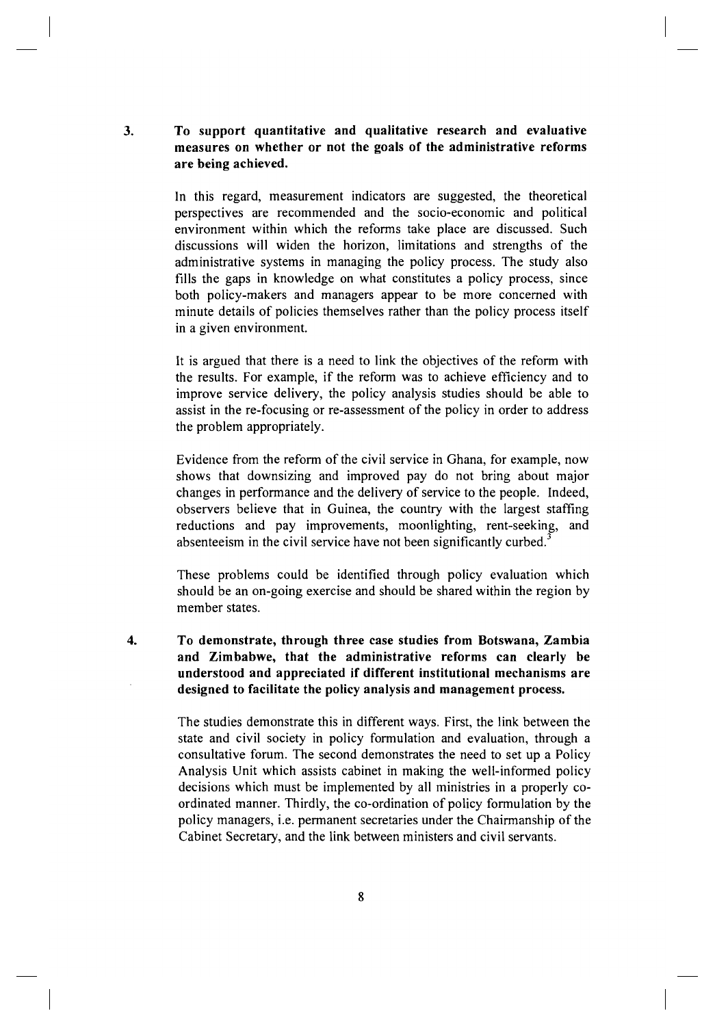## **3.** To support quantitative and qualitative research and evaluative **measures on whether or not the goals of the administrative reforms are being achieved.**

In this regard, measurement indicators are suggested, the theoretical perspectives are recommended and the socio-economic and political environment within which the reforms take place are discussed. Such discussions will widen the horizon, limitations and strengths of the administrative systems in managing the policy process. The study also fills the gaps in knowledge on what constitutes a policy process, since both policy-makers and managers appear to be more concerned with minute details of policies themselves rather than the policy process itself in a given environment.

It is argued that there is a need to link the objectives of the reform with the results. For example, if the reform was to achieve efficiency and to improve service delivery, the policy analysis studies should be able to assist in the re-focusing or re-assessment of the policy in order to address the problem appropriately.

Evidence from the reform of the civil service in Ghana, for example, now shows that downsizing and improved pay do not bring about major changes in performance and the delivery of service to the people. Indeed, observers believe that in Guinea, the country with the largest staffing reductions and pay improvements, moonlighting, rent-seeking, and absenteeism in the civil service have not been significantly curbed.<sup>3</sup>

These problems could be identified through policy evaluation which should be an on-going exercise and should be shared within the region by member states.

**4. T o demonstrate , throug h thre e cas e studie s fro m Botswana , Zambi a**  and Zimbabwe, that the administrative reforms can clearly be **understood an d appreciated i f different institutiona l mechanism s ar e designed to facilitate the policy analysis and management process.** 

> The studies demonstrate this in different ways. First, the link between the state and civil society in policy formulation and evaluation, through a consultative forum. The second demonstrates the need to set up a Policy Analysis Unit which assists cabinet in making the well-informed policy decisions which must be implemented by all ministries in a properly coordinated manner. Thirdly, the co-ordination of policy formulation by the policy managers, i.e. permanent secretaries under the Chairmanship of the Cabinet Secretary, and the link between ministers and civil servants.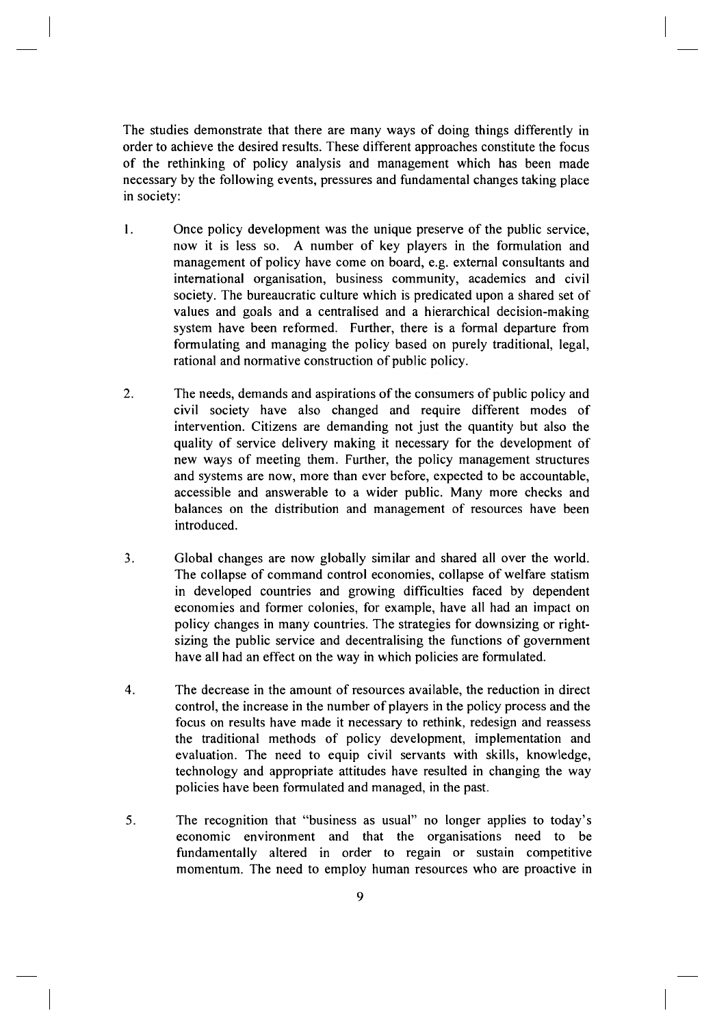The studies demonstrate that there are many ways of doing things differently in order to achieve the desired results. These different approaches constitute the focus of the rethinking of policy analysis and management which has been made necessary by the following events, pressures and fundamental changes taking place in society:

- 1. Once policy development was the unique preserve of the public service, now it is less so. A number of key players in the formulation and management of policy have come on board, e.g. external consultants and international organisation, business community, academics and civil society. The bureaucratic culture which is predicated upon a shared set of values and goals and a centralised and a hierarchical decision-making system have been reformed. Further, there is a formal departure from formulating and managing the policy based on purely traditional, legal, rational and normative construction of public policy.
- 2. The needs, demands and aspirations of the consumers of public policy and civil society have also changed and require different modes of intervention. Citizens are demanding not just the quantity but also the quality of service delivery making it necessary for the development of new ways of meeting them. Further, the policy management structures and systems are now, more than ever before, expected to be accountable, accessible and answerable to a wider public. Many more checks and balances on the distribution and management of resources have been introduced.
- 3. Global changes are now globally similar and shared all over the world. The collapse of command control economies, collapse of welfare statism in developed countries and growing difficulties faced by dependent economies and former colonies, for example, have all had an impact on policy changes in many countries. The strategies for downsizing or rightsizing the public service and decentralising the functions of government have all had an effect on the way in which policies are formulated.
- 4. The decrease in the amount of resources available, the reduction in direct control, the increase in the number of players in the policy process and the focus on results have made it necessary to rethink, redesign and reassess the traditional methods of policy development, implementation and evaluation. The need to equip civil servants with skills, knowledge, technology and appropriate attitudes have resulted in changing the way policies have been formulated and managed, in the past.
- 5. The recognition that "business as usual" no longer applies to today's economic environment and that the organisations need to be fundamentally altered in order to regain or sustain competitive momentum. The need to employ human resources who are proactive in